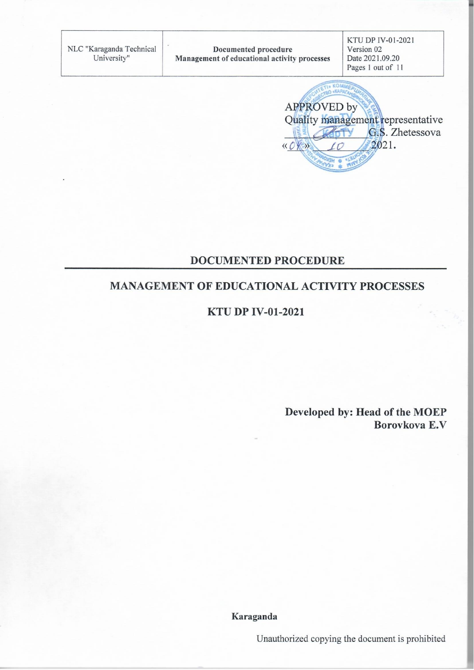KTU DP IV-01-2021 NLC "Karaganda Technical Documented procedure Version 02 University" Date 2021.09.20 Management of educational activity processes Pages 1 out of 11 **\* KOMMA** O «KAPAFA **APPROVED** by Quality management representative G.S. Zhetessova 2021.  $\langle\langle\right\rangle$ 

#### **DOCUMENTED PROCEDURE**

### **MANAGEMENT OF EDUCATIONAL ACTIVITY PROCESSES**

#### **KTU DP IV-01-2021**

Developed by: Head of the MOEP Borovkova E.V

Karaganda

Unauthorized copying the document is prohibited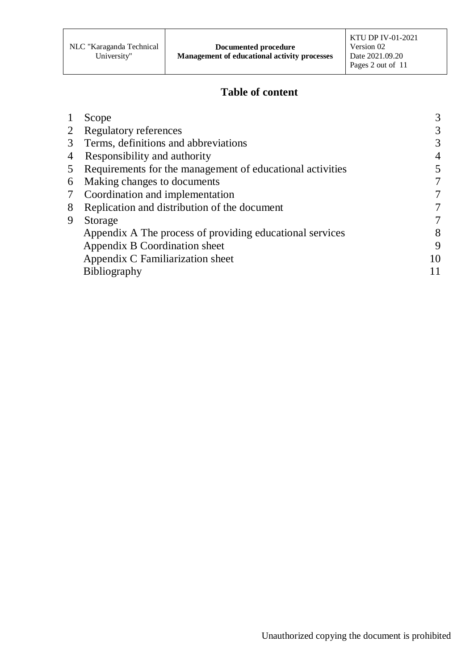## **Table of content**

|                 | Scope                                                     |    |
|-----------------|-----------------------------------------------------------|----|
|                 | 2 Regulatory references                                   |    |
| 3 <sup>7</sup>  | Terms, definitions and abbreviations                      |    |
| 4               | Responsibility and authority                              |    |
| 5 <sup>5</sup>  | Requirements for the management of educational activities |    |
| 6               | Making changes to documents                               |    |
| $7\phantom{.0}$ | Coordination and implementation                           |    |
| 8               | Replication and distribution of the document              |    |
| 9               | Storage                                                   |    |
|                 | Appendix A The process of providing educational services  | 8  |
|                 | Appendix B Coordination sheet                             | q  |
|                 | Appendix C Familiarization sheet                          | 10 |
|                 | <b>Bibliography</b>                                       |    |
|                 |                                                           |    |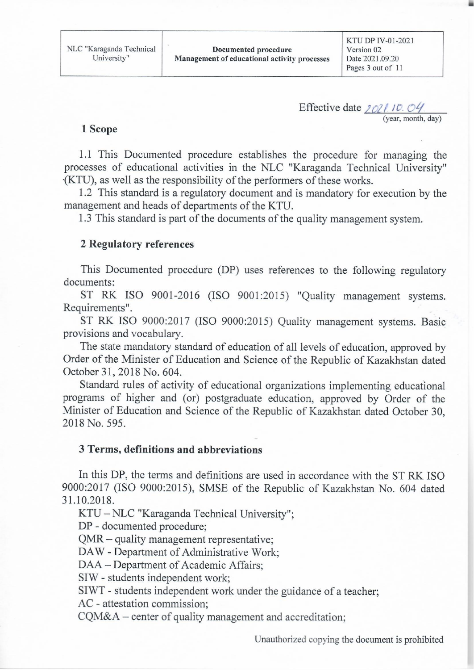Effective date 2021.10.04 (year, month, day)

#### 1 Scope

1.1 This Documented procedure establishes the procedure for managing the processes of educational activities in the NLC "Karaganda Technical University" (KTU), as well as the responsibility of the performers of these works.

1.2 This standard is a regulatory document and is mandatory for execution by the management and heads of departments of the KTU.

1.3 This standard is part of the documents of the quality management system.

#### **2 Regulatory references**

This Documented procedure (DP) uses references to the following regulatory documents:

ST RK ISO 9001-2016 (ISO 9001:2015) "Quality management systems. Requirements".

ST RK ISO 9000:2017 (ISO 9000:2015) Quality management systems. Basic provisions and vocabulary.

The state mandatory standard of education of all levels of education, approved by Order of the Minister of Education and Science of the Republic of Kazakhstan dated October 31, 2018 No. 604.

Standard rules of activity of educational organizations implementing educational programs of higher and (or) postgraduate education, approved by Order of the Minister of Education and Science of the Republic of Kazakhstan dated October 30, 2018 No. 595.

#### 3 Terms, definitions and abbreviations

In this DP, the terms and definitions are used in accordance with the ST RK ISO 9000:2017 (ISO 9000:2015), SMSE of the Republic of Kazakhstan No. 604 dated 31.10.2018.

KTU - NLC "Karaganda Technical University";

DP - documented procedure;

QMR – quality management representative;

DAW - Department of Administrative Work;

DAA – Department of Academic Affairs:

SIW - students independent work;

SIWT - students independent work under the guidance of a teacher;

AC - attestation commission:

CQM&A – center of quality management and accreditation;

Unauthorized copying the document is prohibited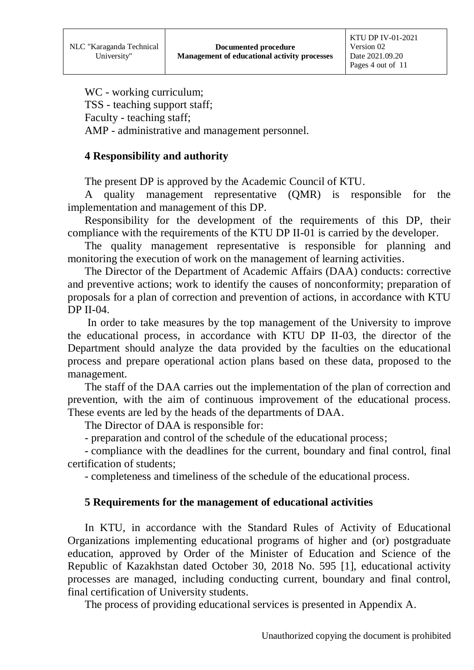WC - working curriculum: TSS - teaching support staff; Faculty - teaching staff; AMP - administrative and management personnel.

### **4 Responsibility and authority**

The present DP is approved by the Academic Council of KTU.

A quality management representative (QMR) is responsible for the implementation and management of this DP.

Responsibility for the development of the requirements of this DP, their compliance with the requirements of the KTU DP II-01 is carried by the developer.

The quality management representative is responsible for planning and monitoring the execution of work on the management of learning activities.

The Director of the Department of Academic Affairs (DAA) conducts: corrective and preventive actions; work to identify the causes of nonconformity; preparation of proposals for a plan of correction and prevention of actions, in accordance with KTU DP II-04.

In order to take measures by the top management of the University to improve the educational process, in accordance with KTU DP II-03, the director of the Department should analyze the data provided by the faculties on the educational process and prepare operational action plans based on these data, proposed to the management.

The staff of the DAA carries out the implementation of the plan of correction and prevention, with the aim of continuous improvement of the educational process. These events are led by the heads of the departments of DAA.

The Director of DAA is responsible for:

- preparation and control of the schedule of the educational process;

- compliance with the deadlines for the current, boundary and final control, final certification of students;

- completeness and timeliness of the schedule of the educational process.

### **5 Requirements for the management of educational activities**

In KTU, in accordance with the Standard Rules of Activity of Educational Organizations implementing educational programs of higher and (or) postgraduate education, approved by Order of the Minister of Education and Science of the Republic of Kazakhstan dated October 30, 2018 No. 595 [1], educational activity processes are managed, including conducting current, boundary and final control, final certification of University students.

The process of providing educational services is presented in Appendix A.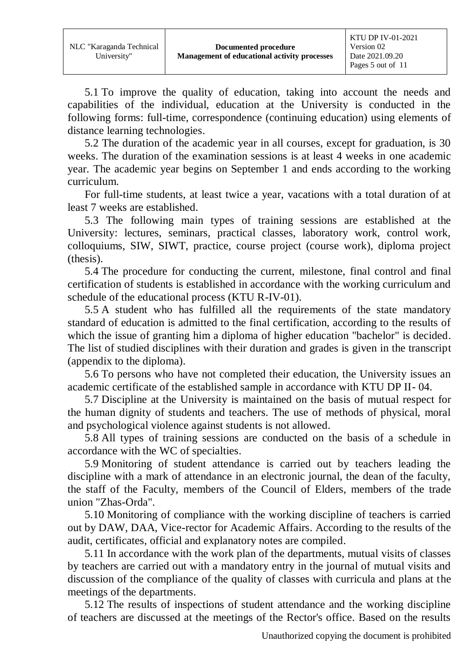5.1 To improve the quality of education, taking into account the needs and capabilities of the individual, education at the University is conducted in the following forms: full-time, correspondence (continuing education) using elements of distance learning technologies.

5.2 The duration of the academic year in all courses, except for graduation, is 30 weeks. The duration of the examination sessions is at least 4 weeks in one academic year. The academic year begins on September 1 and ends according to the working curriculum.

For full-time students, at least twice a year, vacations with a total duration of at least 7 weeks are established.

5.3 The following main types of training sessions are established at the University: lectures, seminars, practical classes, laboratory work, control work, colloquiums, SIW, SIWT, practice, course project (course work), diploma project (thesis).

5.4 The procedure for conducting the current, milestone, final control and final certification of students is established in accordance with the working curriculum and schedule of the educational process (KTU R-IV-01).

5.5 A student who has fulfilled all the requirements of the state mandatory standard of education is admitted to the final certification, according to the results of which the issue of granting him a diploma of higher education "bachelor" is decided. The list of studied disciplines with their duration and grades is given in the transcript (appendix to the diploma).

5.6 To persons who have not completed their education, the University issues an academic certificate of the established sample in accordance with KTU DP II- 04.

5.7 Discipline at the University is maintained on the basis of mutual respect for the human dignity of students and teachers. The use of methods of physical, moral and psychological violence against students is not allowed.

5.8 All types of training sessions are conducted on the basis of a schedule in accordance with the WC of specialties.

5.9 Monitoring of student attendance is carried out by teachers leading the discipline with a mark of attendance in an electronic journal, the dean of the faculty, the staff of the Faculty, members of the Council of Elders, members of the trade union "Zhas-Orda".

5.10 Monitoring of compliance with the working discipline of teachers is carried out by DAW, DAA, Vice-rector for Academic Affairs. According to the results of the audit, certificates, official and explanatory notes are compiled.

5.11 In accordance with the work plan of the departments, mutual visits of classes by teachers are carried out with a mandatory entry in the journal of mutual visits and discussion of the compliance of the quality of classes with curricula and plans at the meetings of the departments.

5.12 The results of inspections of student attendance and the working discipline of teachers are discussed at the meetings of the Rector's office. Based on the results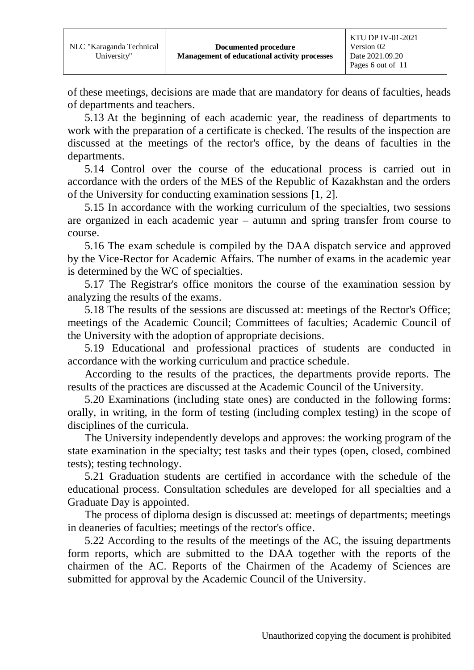of these meetings, decisions are made that are mandatory for deans of faculties, heads of departments and teachers.

5.13 At the beginning of each academic year, the readiness of departments to work with the preparation of a certificate is checked. The results of the inspection are discussed at the meetings of the rector's office, by the deans of faculties in the departments.

5.14 Control over the course of the educational process is carried out in accordance with the orders of the MES of the Republic of Kazakhstan and the orders of the University for conducting examination sessions [1, 2].

5.15 In accordance with the working curriculum of the specialties, two sessions are organized in each academic year – autumn and spring transfer from course to course.

5.16 The exam schedule is compiled by the DAA dispatch service and approved by the Vice-Rector for Academic Affairs. The number of exams in the academic year is determined by the WC of specialties.

5.17 The Registrar's office monitors the course of the examination session by analyzing the results of the exams.

5.18 The results of the sessions are discussed at: meetings of the Rector's Office; meetings of the Academic Council; Committees of faculties; Academic Council of the University with the adoption of appropriate decisions.

5.19 Educational and professional practices of students are conducted in accordance with the working curriculum and practice schedule.

According to the results of the practices, the departments provide reports. The results of the practices are discussed at the Academic Council of the University.

5.20 Examinations (including state ones) are conducted in the following forms: orally, in writing, in the form of testing (including complex testing) in the scope of disciplines of the curricula.

The University independently develops and approves: the working program of the state examination in the specialty; test tasks and their types (open, closed, combined tests); testing technology.

5.21 Graduation students are certified in accordance with the schedule of the educational process. Consultation schedules are developed for all specialties and a Graduate Day is appointed.

The process of diploma design is discussed at: meetings of departments; meetings in deaneries of faculties; meetings of the rector's office.

5.22 According to the results of the meetings of the AC, the issuing departments form reports, which are submitted to the DAA together with the reports of the chairmen of the AC. Reports of the Chairmen of the Academy of Sciences are submitted for approval by the Academic Council of the University.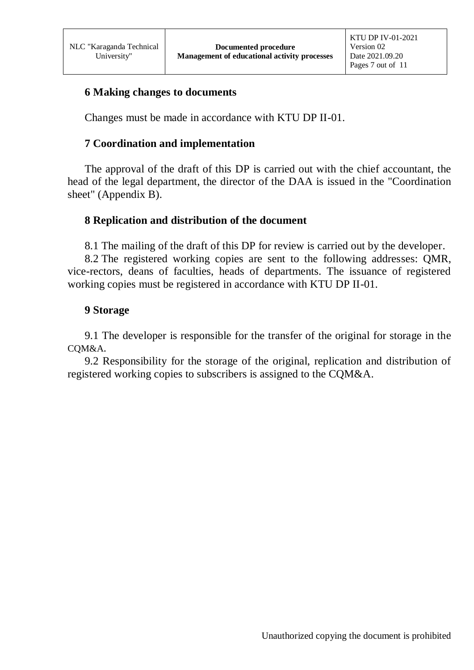### **6 Making changes to documents**

Changes must be made in accordance with KTU DP II-01.

### **7 Coordination and implementation**

The approval of the draft of this DP is carried out with the chief accountant, the head of the legal department, the director of the DAA is issued in the "Coordination sheet" (Appendix B).

#### **8 Replication and distribution of the document**

8.1 The mailing of the draft of this DP for review is carried out by the developer.

8.2 The registered working copies are sent to the following addresses: QMR, vice-rectors, deans of faculties, heads of departments. The issuance of registered working copies must be registered in accordance with KTU DP II-01.

#### **9 Storage**

9.1 The developer is responsible for the transfer of the original for storage in the CQM&A.

9.2 Responsibility for the storage of the original, replication and distribution of registered working copies to subscribers is assigned to the CQM&A.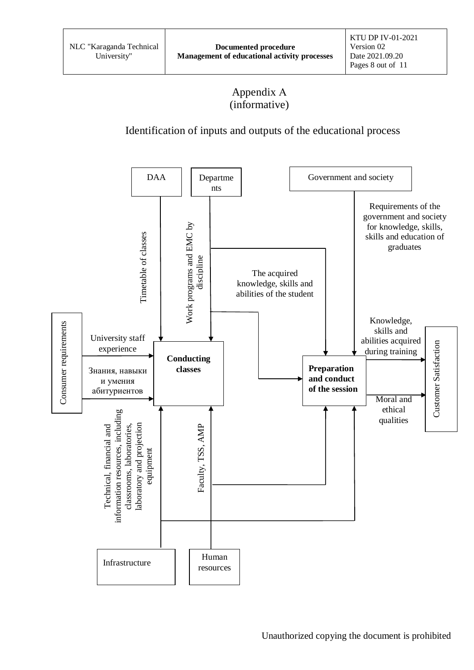## Appendix А (informative)

## Identification of inputs and outputs of the educational process

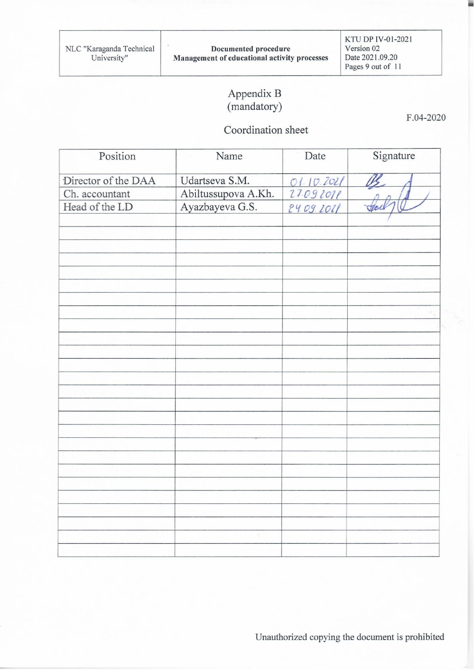KTU DP IV-01-2021 Version 02 Date 2021.09.20 Pages 9 out of 11

## Appendix B (mandatory)

### Coordination sheet

Signature Position Name Date Director of the DAA Udartseva S.M. 01.10.2021 Abiltussupova A.Kh. 27.09 2011. Ch. accountant Head of the LD Ayazbayeva G.S. 24.09.2021

F.04-2020

÷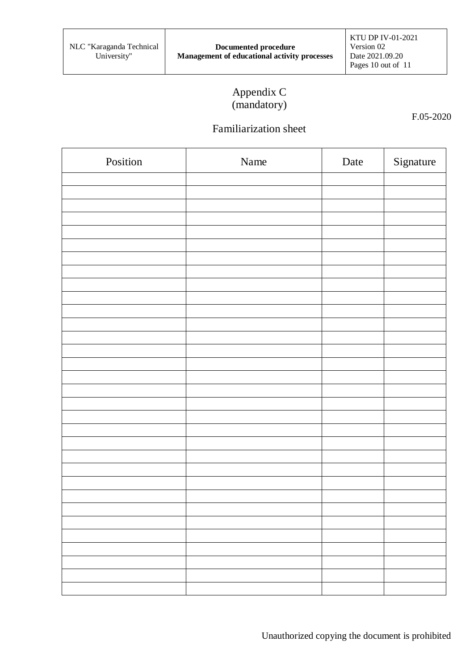## Appendix C (mandatory)

F.05-2020

# Familiarization sheet

| Position | Name | Date | Signature |
|----------|------|------|-----------|
|          |      |      |           |
|          |      |      |           |
|          |      |      |           |
|          |      |      |           |
|          |      |      |           |
|          |      |      |           |
|          |      |      |           |
|          |      |      |           |
|          |      |      |           |
|          |      |      |           |
|          |      |      |           |
|          |      |      |           |
|          |      |      |           |
|          |      |      |           |
|          |      |      |           |
|          |      |      |           |
|          |      |      |           |
|          |      |      |           |
|          |      |      |           |
|          |      |      |           |
|          |      |      |           |
|          |      |      |           |
|          |      |      |           |
|          |      |      |           |
|          |      |      |           |
|          |      |      |           |
|          |      |      |           |
|          |      |      |           |
|          |      |      |           |
|          |      |      |           |
|          |      |      |           |
|          |      |      |           |